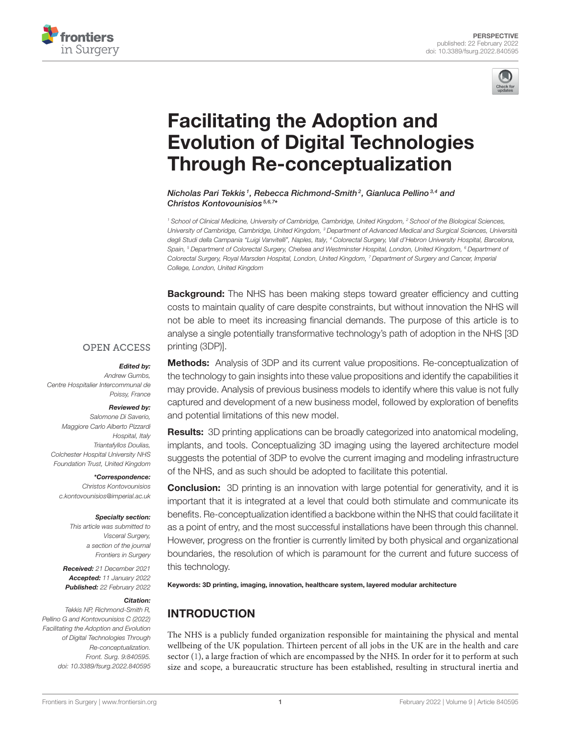



# Facilitating the Adoption and [Evolution of Digital Technologies](https://www.frontiersin.org/articles/10.3389/fsurg.2022.840595/full) Through Re-conceptualization

Nicholas Pari Tekkis<sup>1</sup>, Rebecca Richmond-Smith<sup>2</sup>, Gianluca Pellino<sup>3,4</sup> and Christos Kontovounisios<sup>5,6,7\*</sup>

<sup>1</sup> School of Clinical Medicine, University of Cambridge, Cambridge, United Kingdom, <sup>2</sup> School of the Biological Sciences, University of Cambridge, Cambridge, United Kingdom, <sup>3</sup> Department of Advanced Medical and Surgical Sciences, Università degli Studi della Campania "Luigi Vanvitelli", Naples, Italy, <sup>4</sup> Colorectal Surgery, Vall d'Hebron University Hospital, Barcelona, Spain, <sup>5</sup> Department of Colorectal Surgery, Chelsea and Westminster Hospital, London, United Kingdom, <sup>6</sup> Department of Colorectal Surgery, Royal Marsden Hospital, London, United Kingdom, <sup>7</sup> Department of Surgery and Cancer, Imperial College, London, United Kingdom

**Background:** The NHS has been making steps toward greater efficiency and cutting costs to maintain quality of care despite constraints, but without innovation the NHS will not be able to meet its increasing financial demands. The purpose of this article is to analyse a single potentially transformative technology's path of adoption in the NHS [3D printing (3DP)].

#### **OPEN ACCESS**

#### Edited by:

Andrew Gumbs, Centre Hospitalier Intercommunal de Poissy, France

#### Reviewed by:

Salomone Di Saverio, Maggiore Carlo Alberto Pizzardi Hospital, Italy Triantafyllos Doulias, Colchester Hospital University NHS Foundation Trust, United Kingdom

#### \*Correspondence:

Christos Kontovounisios [c.kontovounisios@imperial.ac.uk](mailto:c.kontovounisios@imperial.ac.uk)

#### Specialty section:

This article was submitted to Visceral Surgery, a section of the journal Frontiers in Surgery

Received: 21 December 2021 Accepted: 11 January 2022 Published: 22 February 2022

#### Citation:

Tekkis NP, Richmond-Smith R, Pellino G and Kontovounisios C (2022) Facilitating the Adoption and Evolution of Digital Technologies Through Re-conceptualization. Front. Surg. 9:840595. doi: [10.3389/fsurg.2022.840595](https://doi.org/10.3389/fsurg.2022.840595)

Methods: Analysis of 3DP and its current value propositions. Re-conceptualization of the technology to gain insights into these value propositions and identify the capabilities it may provide. Analysis of previous business models to identify where this value is not fully captured and development of a new business model, followed by exploration of benefits and potential limitations of this new model.

Results: 3D printing applications can be broadly categorized into anatomical modeling, implants, and tools. Conceptualizing 3D imaging using the layered architecture model suggests the potential of 3DP to evolve the current imaging and modeling infrastructure of the NHS, and as such should be adopted to facilitate this potential.

**Conclusion:** 3D printing is an innovation with large potential for generativity, and it is important that it is integrated at a level that could both stimulate and communicate its benefits. Re-conceptualization identified a backbone within the NHS that could facilitate it as a point of entry, and the most successful installations have been through this channel. However, progress on the frontier is currently limited by both physical and organizational boundaries, the resolution of which is paramount for the current and future success of this technology.

Keywords: 3D printing, imaging, innovation, healthcare system, layered modular architecture

## INTRODUCTION

The NHS is a publicly funded organization responsible for maintaining the physical and mental wellbeing of the UK population. Thirteen percent of all jobs in the UK are in the health and care sector [\(1\)](#page-4-0), a large fraction of which are encompassed by the NHS. In order for it to perform at such size and scope, a bureaucratic structure has been established, resulting in structural inertia and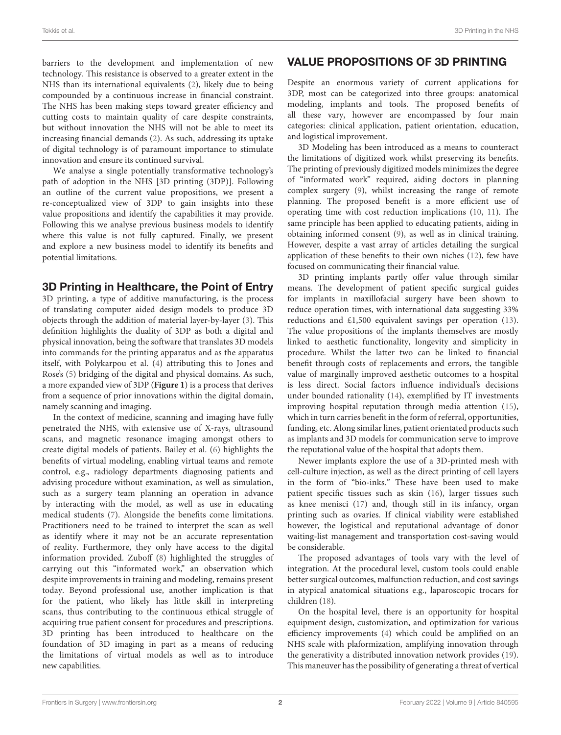barriers to the development and implementation of new technology. This resistance is observed to a greater extent in the NHS than its international equivalents [\(2\)](#page-4-1), likely due to being compounded by a continuous increase in financial constraint. The NHS has been making steps toward greater efficiency and cutting costs to maintain quality of care despite constraints, but without innovation the NHS will not be able to meet its increasing financial demands [\(2\)](#page-4-1). As such, addressing its uptake of digital technology is of paramount importance to stimulate innovation and ensure its continued survival.

We analyse a single potentially transformative technology's path of adoption in the NHS [3D printing (3DP)]. Following an outline of the current value propositions, we present a re-conceptualized view of 3DP to gain insights into these value propositions and identify the capabilities it may provide. Following this we analyse previous business models to identify where this value is not fully captured. Finally, we present and explore a new business model to identify its benefits and potential limitations.

#### 3D Printing in Healthcare, the Point of Entry

3D printing, a type of additive manufacturing, is the process of translating computer aided design models to produce 3D objects through the addition of material layer-by-layer [\(3\)](#page-4-2). This definition highlights the duality of 3DP as both a digital and physical innovation, being the software that translates 3D models into commands for the printing apparatus and as the apparatus itself, with Polykarpou et al. [\(4\)](#page-4-3) attributing this to Jones and Rose's [\(5\)](#page-4-4) bridging of the digital and physical domains. As such, a more expanded view of 3DP (**[Figure 1](#page-2-0)**) is a process that derives from a sequence of prior innovations within the digital domain, namely scanning and imaging.

In the context of medicine, scanning and imaging have fully penetrated the NHS, with extensive use of X-rays, ultrasound scans, and magnetic resonance imaging amongst others to create digital models of patients. Bailey et al. [\(6\)](#page-4-5) highlights the benefits of virtual modeling, enabling virtual teams and remote control, e.g., radiology departments diagnosing patients and advising procedure without examination, as well as simulation, such as a surgery team planning an operation in advance by interacting with the model, as well as use in educating medical students [\(7\)](#page-4-6). Alongside the benefits come limitations. Practitioners need to be trained to interpret the scan as well as identify where it may not be an accurate representation of reality. Furthermore, they only have access to the digital information provided. Zuboff [\(8\)](#page-4-7) highlighted the struggles of carrying out this "informated work," an observation which despite improvements in training and modeling, remains present today. Beyond professional use, another implication is that for the patient, who likely has little skill in interpreting scans, thus contributing to the continuous ethical struggle of acquiring true patient consent for procedures and prescriptions. 3D printing has been introduced to healthcare on the foundation of 3D imaging in part as a means of reducing the limitations of virtual models as well as to introduce new capabilities.

## VALUE PROPOSITIONS OF 3D PRINTING

Despite an enormous variety of current applications for 3DP, most can be categorized into three groups: anatomical modeling, implants and tools. The proposed benefits of all these vary, however are encompassed by four main categories: clinical application, patient orientation, education, and logistical improvement.

3D Modeling has been introduced as a means to counteract the limitations of digitized work whilst preserving its benefits. The printing of previously digitized models minimizes the degree of "informated work" required, aiding doctors in planning complex surgery [\(9\)](#page-4-8), whilst increasing the range of remote planning. The proposed benefit is a more efficient use of operating time with cost reduction implications [\(10,](#page-4-9) [11\)](#page-4-10). The same principle has been applied to educating patients, aiding in obtaining informed consent [\(9\)](#page-4-8), as well as in clinical training. However, despite a vast array of articles detailing the surgical application of these benefits to their own niches [\(12\)](#page-4-11), few have focused on communicating their financial value.

3D printing implants partly offer value through similar means. The development of patient specific surgical guides for implants in maxillofacial surgery have been shown to reduce operation times, with international data suggesting 33% reductions and £1,500 equivalent savings per operation [\(13\)](#page-5-0). The value propositions of the implants themselves are mostly linked to aesthetic functionality, longevity and simplicity in procedure. Whilst the latter two can be linked to financial benefit through costs of replacements and errors, the tangible value of marginally improved aesthetic outcomes to a hospital is less direct. Social factors influence individual's decisions under bounded rationality [\(14\)](#page-5-1), exemplified by IT investments improving hospital reputation through media attention [\(15\)](#page-5-2), which in turn carries benefit in the form of referral, opportunities, funding, etc. Along similar lines, patient orientated products such as implants and 3D models for communication serve to improve the reputational value of the hospital that adopts them.

Newer implants explore the use of a 3D-printed mesh with cell-culture injection, as well as the direct printing of cell layers in the form of "bio-inks." These have been used to make patient specific tissues such as skin [\(16\)](#page-5-3), larger tissues such as knee menisci [\(17\)](#page-5-4) and, though still in its infancy, organ printing such as ovaries. If clinical viability were established however, the logistical and reputational advantage of donor waiting-list management and transportation cost-saving would be considerable.

The proposed advantages of tools vary with the level of integration. At the procedural level, custom tools could enable better surgical outcomes, malfunction reduction, and cost savings in atypical anatomical situations e.g., laparoscopic trocars for children [\(18\)](#page-5-5).

On the hospital level, there is an opportunity for hospital equipment design, customization, and optimization for various efficiency improvements [\(4\)](#page-4-3) which could be amplified on an NHS scale with plaformization, amplifying innovation through the generativity a distributed innovation network provides [\(19\)](#page-5-6). This maneuver has the possibility of generating a threat of vertical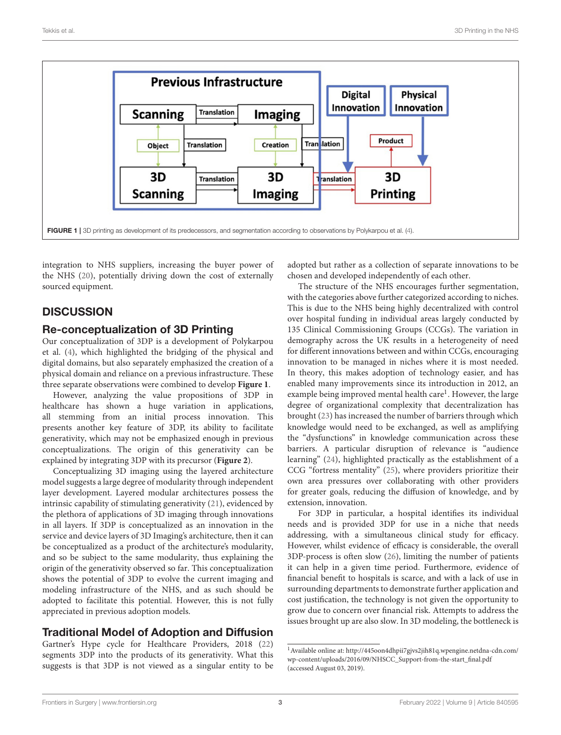

<span id="page-2-0"></span>integration to NHS suppliers, increasing the buyer power of the NHS [\(20\)](#page-5-7), potentially driving down the cost of externally sourced equipment.

## **DISCUSSION**

#### Re-conceptualization of 3D Printing

Our conceptualization of 3DP is a development of Polykarpou et al. [\(4\)](#page-4-3), which highlighted the bridging of the physical and digital domains, but also separately emphasized the creation of a physical domain and reliance on a previous infrastructure. These three separate observations were combined to develop **[Figure 1](#page-2-0)**.

However, analyzing the value propositions of 3DP in healthcare has shown a huge variation in applications, all stemming from an initial process innovation. This presents another key feature of 3DP, its ability to facilitate generativity, which may not be emphasized enough in previous conceptualizations. The origin of this generativity can be explained by integrating 3DP with its precursor (**[Figure 2](#page-3-0)**).

Conceptualizing 3D imaging using the layered architecture model suggests a large degree of modularity through independent layer development. Layered modular architectures possess the intrinsic capability of stimulating generativity [\(21\)](#page-5-8), evidenced by the plethora of applications of 3D imaging through innovations in all layers. If 3DP is conceptualized as an innovation in the service and device layers of 3D Imaging's architecture, then it can be conceptualized as a product of the architecture's modularity, and so be subject to the same modularity, thus explaining the origin of the generativity observed so far. This conceptualization shows the potential of 3DP to evolve the current imaging and modeling infrastructure of the NHS, and as such should be adopted to facilitate this potential. However, this is not fully appreciated in previous adoption models.

## Traditional Model of Adoption and Diffusion

Gartner's Hype cycle for Healthcare Providers, 2018 [\(22\)](#page-5-9) segments 3DP into the products of its generativity. What this suggests is that 3DP is not viewed as a singular entity to be adopted but rather as a collection of separate innovations to be chosen and developed independently of each other.

The structure of the NHS encourages further segmentation, with the categories above further categorized according to niches. This is due to the NHS being highly decentralized with control over hospital funding in individual areas largely conducted by 135 Clinical Commissioning Groups (CCGs). The variation in demography across the UK results in a heterogeneity of need for different innovations between and within CCGs, encouraging innovation to be managed in niches where it is most needed. In theory, this makes adoption of technology easier, and has enabled many improvements since its introduction in 2012, an example being improved mental health care<sup>[1](#page-2-1)</sup>. However, the large degree of organizational complexity that decentralization has brought [\(23\)](#page-5-10) has increased the number of barriers through which knowledge would need to be exchanged, as well as amplifying the "dysfunctions" in knowledge communication across these barriers. A particular disruption of relevance is "audience learning" [\(24\)](#page-5-11), highlighted practically as the establishment of a CCG "fortress mentality" [\(25\)](#page-5-12), where providers prioritize their own area pressures over collaborating with other providers for greater goals, reducing the diffusion of knowledge, and by extension, innovation.

For 3DP in particular, a hospital identifies its individual needs and is provided 3DP for use in a niche that needs addressing, with a simultaneous clinical study for efficacy. However, whilst evidence of efficacy is considerable, the overall 3DP-process is often slow [\(26\)](#page-5-13), limiting the number of patients it can help in a given time period. Furthermore, evidence of financial benefit to hospitals is scarce, and with a lack of use in surrounding departments to demonstrate further application and cost justification, the technology is not given the opportunity to grow due to concern over financial risk. Attempts to address the issues brought up are also slow. In 3D modeling, the bottleneck is

<span id="page-2-1"></span> $^{\rm 1}$  [Available online at: http://445oon4dhpii7gjvs2jih81q.wpengine.netdna-cdn.com/](http://445oon4dhpii7gjvs2jih81q.wpengine.netdna-cdn.com/wp-content/uploads/2016/09/NHSCC_Support-from-the-start_final.pdf) wp-content/uploads/2016/09/NHSCC\_Support-from-the-start\_final.pdf (accessed August 03, 2019).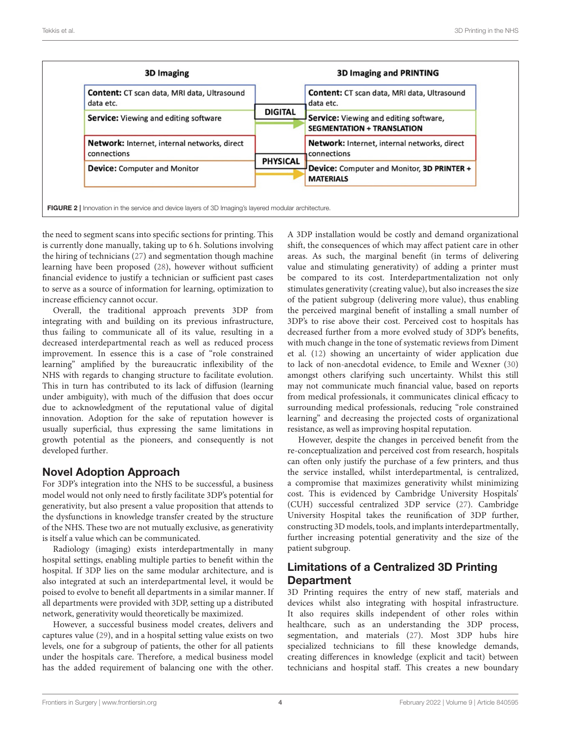| Content: CT scan data, MRI data, Ultrasound<br>data etc.           | <b>DIGITAL</b><br><b>PHYSICAL</b> | <b>Content:</b> CT scan data, MRI data, Ultrasound<br>data etc.                    |
|--------------------------------------------------------------------|-----------------------------------|------------------------------------------------------------------------------------|
| <b>Service:</b> Viewing and editing software                       |                                   | <b>Service:</b> Viewing and editing software,<br><b>SEGMENTATION + TRANSLATION</b> |
| <b>Network:</b> Internet, internal networks, direct<br>connections |                                   | Network: Internet, internal networks, direct<br>connections                        |
| <b>Device:</b> Computer and Monitor                                |                                   | Device: Computer and Monitor, 3D PRINTER +<br><b>MATERIALS</b>                     |

<span id="page-3-0"></span>the need to segment scans into specific sections for printing. This is currently done manually, taking up to 6 h. Solutions involving the hiring of technicians [\(27\)](#page-5-14) and segmentation though machine learning have been proposed [\(28\)](#page-5-15), however without sufficient financial evidence to justify a technician or sufficient past cases to serve as a source of information for learning, optimization to increase efficiency cannot occur.

Overall, the traditional approach prevents 3DP from integrating with and building on its previous infrastructure, thus failing to communicate all of its value, resulting in a decreased interdepartmental reach as well as reduced process improvement. In essence this is a case of "role constrained learning" amplified by the bureaucratic inflexibility of the NHS with regards to changing structure to facilitate evolution. This in turn has contributed to its lack of diffusion (learning under ambiguity), with much of the diffusion that does occur due to acknowledgment of the reputational value of digital innovation. Adoption for the sake of reputation however is usually superficial, thus expressing the same limitations in growth potential as the pioneers, and consequently is not developed further.

## Novel Adoption Approach

For 3DP's integration into the NHS to be successful, a business model would not only need to firstly facilitate 3DP's potential for generativity, but also present a value proposition that attends to the dysfunctions in knowledge transfer created by the structure of the NHS. These two are not mutually exclusive, as generativity is itself a value which can be communicated.

Radiology (imaging) exists interdepartmentally in many hospital settings, enabling multiple parties to benefit within the hospital. If 3DP lies on the same modular architecture, and is also integrated at such an interdepartmental level, it would be poised to evolve to benefit all departments in a similar manner. If all departments were provided with 3DP, setting up a distributed network, generativity would theoretically be maximized.

However, a successful business model creates, delivers and captures value [\(29\)](#page-5-16), and in a hospital setting value exists on two levels, one for a subgroup of patients, the other for all patients under the hospitals care. Therefore, a medical business model has the added requirement of balancing one with the other. A 3DP installation would be costly and demand organizational shift, the consequences of which may affect patient care in other areas. As such, the marginal benefit (in terms of delivering value and stimulating generativity) of adding a printer must be compared to its cost. Interdepartmentalization not only stimulates generativity (creating value), but also increases the size of the patient subgroup (delivering more value), thus enabling the perceived marginal benefit of installing a small number of 3DP's to rise above their cost. Perceived cost to hospitals has decreased further from a more evolved study of 3DP's benefits, with much change in the tone of systematic reviews from Diment et al. [\(12\)](#page-4-11) showing an uncertainty of wider application due to lack of non-anecdotal evidence, to Emile and Wexner [\(30\)](#page-5-17) amongst others clarifying such uncertainty. Whilst this still may not communicate much financial value, based on reports from medical professionals, it communicates clinical efficacy to surrounding medical professionals, reducing "role constrained learning" and decreasing the projected costs of organizational resistance, as well as improving hospital reputation.

However, despite the changes in perceived benefit from the re-conceptualization and perceived cost from research, hospitals can often only justify the purchase of a few printers, and thus the service installed, whilst interdepartmental, is centralized, a compromise that maximizes generativity whilst minimizing cost. This is evidenced by Cambridge University Hospitals' (CUH) successful centralized 3DP service [\(27\)](#page-5-14). Cambridge University Hospital takes the reunification of 3DP further, constructing 3D models, tools, and implants interdepartmentally, further increasing potential generativity and the size of the patient subgroup.

## Limitations of a Centralized 3D Printing **Department**

3D Printing requires the entry of new staff, materials and devices whilst also integrating with hospital infrastructure. It also requires skills independent of other roles within healthcare, such as an understanding the 3DP process, segmentation, and materials [\(27\)](#page-5-14). Most 3DP hubs hire specialized technicians to fill these knowledge demands, creating differences in knowledge (explicit and tacit) between technicians and hospital staff. This creates a new boundary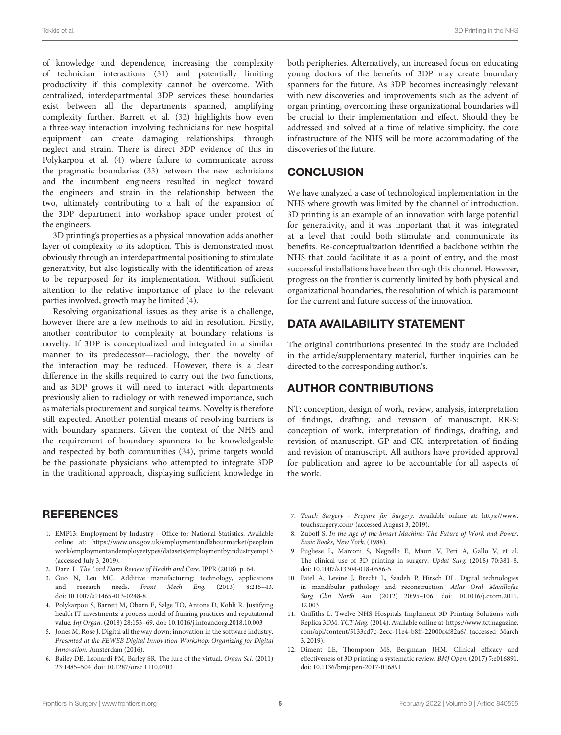of knowledge and dependence, increasing the complexity of technician interactions [\(31\)](#page-5-18) and potentially limiting productivity if this complexity cannot be overcome. With centralized, interdepartmental 3DP services these boundaries exist between all the departments spanned, amplifying complexity further. Barrett et al. [\(32\)](#page-5-19) highlights how even a three-way interaction involving technicians for new hospital equipment can create damaging relationships, through neglect and strain. There is direct 3DP evidence of this in Polykarpou et al. [\(4\)](#page-4-3) where failure to communicate across the pragmatic boundaries [\(33\)](#page-5-20) between the new technicians and the incumbent engineers resulted in neglect toward the engineers and strain in the relationship between the two, ultimately contributing to a halt of the expansion of the 3DP department into workshop space under protest of the engineers.

3D printing's properties as a physical innovation adds another layer of complexity to its adoption. This is demonstrated most obviously through an interdepartmental positioning to stimulate generativity, but also logistically with the identification of areas to be repurposed for its implementation. Without sufficient attention to the relative importance of place to the relevant parties involved, growth may be limited [\(4\)](#page-4-3).

Resolving organizational issues as they arise is a challenge, however there are a few methods to aid in resolution. Firstly, another contributor to complexity at boundary relations is novelty. If 3DP is conceptualized and integrated in a similar manner to its predecessor—radiology, then the novelty of the interaction may be reduced. However, there is a clear difference in the skills required to carry out the two functions, and as 3DP grows it will need to interact with departments previously alien to radiology or with renewed importance, such as materials procurement and surgical teams. Novelty is therefore still expected. Another potential means of resolving barriers is with boundary spanners. Given the context of the NHS and the requirement of boundary spanners to be knowledgeable and respected by both communities [\(34\)](#page-5-21), prime targets would be the passionate physicians who attempted to integrate 3DP in the traditional approach, displaying sufficient knowledge in

#### **REFERENCES**

- <span id="page-4-0"></span>1. EMP13: Employment by Industry - Office for National Statistics. Available [online at: https://www.ons.gov.uk/employmentandlabourmarket/peoplein](https://www.ons.gov.uk/employmentandlabourmarket/peopleinwork/employmentandemployeetypes/datasets/employmentbyindustryemp13) work/employmentandemployeetypes/datasets/employmentbyindustryemp13 (accessed July 3, 2019).
- <span id="page-4-1"></span>2. Darzi L. The Lord Darzi Review of Health and Care. IPPR (2018). p. 64.
- <span id="page-4-2"></span>3. Guo N, Leu MC. Additive manufacturing: technology, applications and research needs. Front Mech Eng. (2013) 8:215–43. doi: [10.1007/s11465-013-0248-8](https://doi.org/10.1007/s11465-013-0248-8)
- <span id="page-4-3"></span>4. Polykarpou S, Barrett M, Oborn E, Salge TO, Antons D, Kohli R. Justifying health IT investments: a process model of framing practices and reputational value. Inf Organ. (2018) 28:153–69. doi: [10.1016/j.infoandorg.2018.10.003](https://doi.org/10.1016/j.infoandorg.2018.10.003)
- <span id="page-4-4"></span>5. Jones M, Rose J. Digital all the way down; innovation in the software industry. Presented at the FEWEB Digital Innovation Workshop: Organizing for Digital Innovation. Amsterdam (2016).
- <span id="page-4-5"></span>6. Bailey DE, Leonardi PM, Barley SR. The lure of the virtual. Organ Sci. (2011) 23:1485–504. doi: [10.1287/orsc.1110.0703](https://doi.org/10.1287/orsc.1110.0703)

both peripheries. Alternatively, an increased focus on educating young doctors of the benefits of 3DP may create boundary spanners for the future. As 3DP becomes increasingly relevant with new discoveries and improvements such as the advent of organ printing, overcoming these organizational boundaries will be crucial to their implementation and effect. Should they be addressed and solved at a time of relative simplicity, the core infrastructure of the NHS will be more accommodating of the discoveries of the future.

#### CONCLUSION

We have analyzed a case of technological implementation in the NHS where growth was limited by the channel of introduction. 3D printing is an example of an innovation with large potential for generativity, and it was important that it was integrated at a level that could both stimulate and communicate its benefits. Re-conceptualization identified a backbone within the NHS that could facilitate it as a point of entry, and the most successful installations have been through this channel. However, progress on the frontier is currently limited by both physical and organizational boundaries, the resolution of which is paramount for the current and future success of the innovation.

#### DATA AVAILABILITY STATEMENT

The original contributions presented in the study are included in the article/supplementary material, further inquiries can be directed to the corresponding author/s.

#### AUTHOR CONTRIBUTIONS

NT: conception, design of work, review, analysis, interpretation of findings, drafting, and revision of manuscript. RR-S: conception of work, interpretation of findings, drafting, and revision of manuscript. GP and CK: interpretation of finding and revision of manuscript. All authors have provided approval for publication and agree to be accountable for all aspects of the work.

- <span id="page-4-6"></span>7. Touch Surgery - Prepare for Surgery. Available online at: [https://www.](https://www.touchsurgery.com/) [touchsurgery.com/](https://www.touchsurgery.com/) (accessed August 3, 2019).
- <span id="page-4-7"></span>8. Zuboff S. In the Age of the Smart Machine: The Future of Work and Power. Basic Books, New York. (1988).
- <span id="page-4-8"></span>9. Pugliese L, Marconi S, Negrello E, Mauri V, Peri A, Gallo V, et al. The clinical use of 3D printing in surgery. Updat Surg. (2018) 70:381–8. doi: [10.1007/s13304-018-0586-5](https://doi.org/10.1007/s13304-018-0586-5)
- <span id="page-4-9"></span>10. Patel A, Levine J, Brecht L, Saadeh P, Hirsch DL. Digital technologies in mandibular pathology and reconstruction. Atlas Oral Maxillofac Surg Clin North Am. [\(2012\) 20:95–106. doi: 10.1016/j.cxom.2011.](https://doi.org/10.1016/j.cxom.2011.12.003) 12.003
- <span id="page-4-10"></span>11. Griffiths L. Twelve NHS Hospitals Implement 3D Printing Solutions with Replica 3DM. TCT Mag. (2014). Available online at: [https://www.tctmagazine.](https://www.tctmagazine.com/api/content/5133cd7c-2ecc-11e4-b8ff-22000a4f82a6/) [com/api/content/5133cd7c-2ecc-11e4-b8ff-22000a4f82a6/](https://www.tctmagazine.com/api/content/5133cd7c-2ecc-11e4-b8ff-22000a4f82a6/) (accessed March 3, 2019).
- <span id="page-4-11"></span>12. Diment LE, Thompson MS, Bergmann JHM. Clinical efficacy and effectiveness of 3D printing: a systematic review. BMJ Open. (2017) 7:e016891. doi: [10.1136/bmjopen-2017-016891](https://doi.org/10.1136/bmjopen-2017-016891)